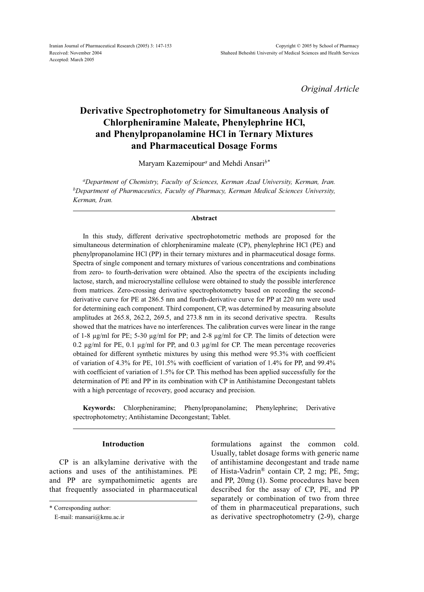*Original Article*

# **Derivative Spectrophotometry for Simultaneous Analysis of Chlorpheniramine Maleate, Phenylephrine HCl, and Phenylpropanolamine HCl in Ternary Mixtures and Pharmaceutical Dosage Forms**

Maryam Kazemipour*a* and Mehdi Ansari*b\**

*aDepartment of Chemistry, Faculty of Sciences, Kerman Azad University, Kerman, Iran. bDepartment of Pharmaceutics, Faculty of Pharmacy, Kerman Medical Sciences University, Kerman, Iran.*

## **Abstract**

In this study, different derivative spectrophotometric methods are proposed for the simultaneous determination of chlorpheniramine maleate (CP), phenylephrine HCl (PE) and phenylpropanolamine HCl (PP) in their ternary mixtures and in pharmaceutical dosage forms. Spectra of single component and ternary mixtures of various concentrations and combinations from zero- to fourth-derivation were obtained. Also the spectra of the excipients including lactose, starch, and microcrystalline cellulose were obtained to study the possible interference from matrices. Zero-crossing derivative spectrophotometry based on recording the secondderivative curve for PE at 286.5 nm and fourth-derivative curve for PP at 220 nm were used for determining each component. Third component, CP, was determined by measuring absolute amplitudes at 265.8, 262.2, 269.5, and 273.8 nm in its second derivative spectra. Results showed that the matrices have no interferences. The calibration curves were linear in the range of 1-8  $\mu$ g/ml for PE; 5-30  $\mu$ g/ml for PP; and 2-8  $\mu$ g/ml for CP. The limits of detection were 0.2  $\mu$ g/ml for PE, 0.1  $\mu$ g/ml for PP, and 0.3  $\mu$ g/ml for CP. The mean percentage recoveries obtained for different synthetic mixtures by using this method were 95.3% with coefficient of variation of 4.3% for PE, 101.5% with coefficient of variation of 1.4% for PP, and 99.4% with coefficient of variation of 1.5% for CP. This method has been applied successfully for the determination of PE and PP in its combination with CP in Antihistamine Decongestant tablets with a high percentage of recovery, good accuracy and precision.

**Keywords:** Chlorpheniramine; Phenylpropanolamine; Phenylephrine; Derivative spectrophotometry; Antihistamine Decongestant; Tablet.

# **Introduction**

CP is an alkylamine derivative with the actions and uses of the antihistamines. PE and PP are sympathomimetic agents are that frequently associated in pharmaceutical

formulations against the common cold. Usually, tablet dosage forms with generic name of antihistamine decongestant and trade name of Hista-Vadrin® contain CP, 2 mg; PE, 5mg; and PP, 20mg (1). Some procedures have been described for the assay of CP, PE, and PP separately or combination of two from three of them in pharmaceutical preparations, such as derivative spectrophotometry (2-9), charge

<sup>\*</sup> Corresponding author:

E-mail: mansari@kmu.ac.ir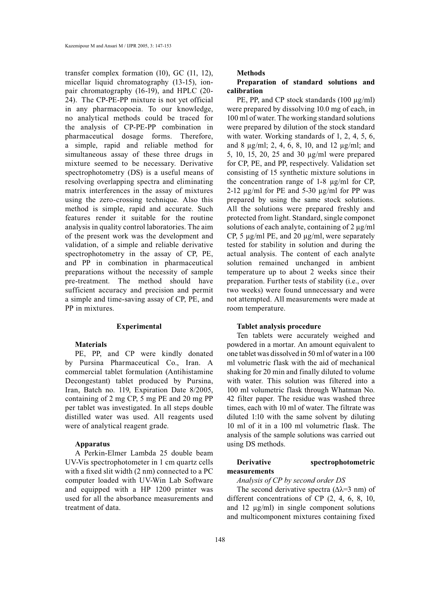transfer complex formation (10), GC (11, 12), micellar liquid chromatography (13-15), ionpair chromatography (16-19), and HPLC (20- 24). The CP-PE-PP mixture is not yet official in any pharmacopoeia. To our knowledge, no analytical methods could be traced for the analysis of CP-PE-PP combination in pharmaceutical dosage forms. Therefore, a simple, rapid and reliable method for simultaneous assay of these three drugs in mixture seemed to be necessary. Derivative spectrophotometry (DS) is a useful means of resolving overlapping spectra and eliminating matrix interferences in the assay of mixtures using the zero-crossing technique. Also this method is simple, rapid and accurate. Such features render it suitable for the routine analysis in quality control laboratories. The aim of the present work was the development and validation, of a simple and reliable derivative spectrophotometry in the assay of CP, PE, and PP in combination in pharmaceutical preparations without the necessity of sample pre-treatment. The method should have sufficient accuracy and precision and permit a simple and time-saving assay of CP, PE, and PP in mixtures.

# **Experimental**

### **Materials**

PE, PP, and CP were kindly donated by Pursina Pharmaceutical Co., Iran. A commercial tablet formulation (Antihistamine Decongestant) tablet produced by Pursina, Iran, Batch no. 119, Expiration Date 8/2005, containing of 2 mg CP, 5 mg PE and 20 mg PP per tablet was investigated. In all steps double distilled water was used. All reagents used were of analytical reagent grade.

# **Apparatus**

A Perkin-Elmer Lambda 25 double beam UV-Vis spectrophotometer in 1 cm quartz cells with a fixed slit width (2 nm) connected to a PC computer loaded with UV-Win Lab Software and equipped with a HP 1200 printer was used for all the absorbance measurements and treatment of data.

### **Methods**

# **Preparation of standard solutions and calibration**

PE, PP, and CP stock standards  $(100 \mu g/ml)$ were prepared by dissolving 10.0 mg of each, in 100 ml of water. The working standard solutions were prepared by dilution of the stock standard with water. Working standards of 1, 2, 4, 5, 6, and 8 µg/ml; 2, 4, 6, 8, 10, and 12 µg/ml; and 5, 10, 15, 20, 25 and 30 µg/ml were prepared for CP, PE, and PP, respectively. Validation set consisting of 15 synthetic mixture solutions in the concentration range of 1-8 µg/ml for CP, 2-12  $\mu$ g/ml for PE and 5-30  $\mu$ g/ml for PP was prepared by using the same stock solutions. All the solutions were prepared freshly and protected from light. Standard, single componet solutions of each analyte, containing of  $2 \mu g/ml$ CP, 5 µg/ml PE, and 20 µg/ml, were separately tested for stability in solution and during the actual analysis. The content of each analyte solution remained unchanged in ambient temperature up to about 2 weeks since their preparation. Further tests of stability (i.e., over two weeks) were found unnecessary and were not attempted. All measurements were made at room temperature.

# **Tablet analysis procedure**

Ten tablets were accurately weighed and powdered in a mortar. An amount equivalent to one tablet was dissolved in 50 ml of water in a 100 ml volumetric flask with the aid of mechanical shaking for 20 min and finally diluted to volume with water. This solution was filtered into a 100 ml volumetric flask through Whatman No. 42 filter paper. The residue was washed three times, each with 10 ml of water. The filtrate was diluted 1:10 with the same solvent by diluting 10 ml of it in a 100 ml volumetric flask. The analysis of the sample solutions was carried out using DS methods.

# **Derivative spectrophotometric measurements**

# *Analysis of CP by second order DS*

The second derivative spectra ( $\Delta \lambda = 3$  nm) of different concentrations of CP (2, 4, 6, 8, 10, and 12 µg/ml) in single component solutions and multicomponent mixtures containing fixed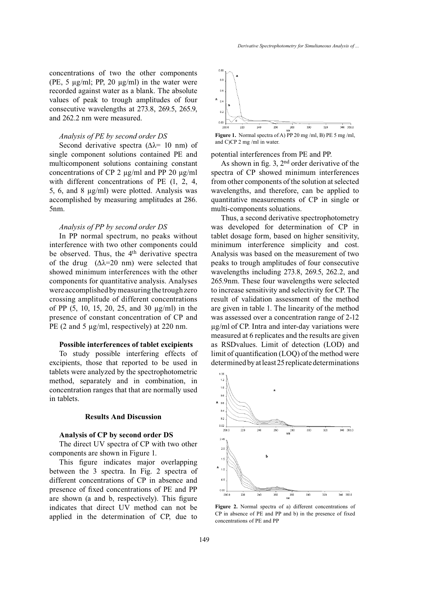concentrations of two the other components (PE, 5  $\mu$ g/ml; PP, 20  $\mu$ g/ml) in the water were recorded against water as a blank. The absolute values of peak to trough amplitudes of four consecutive wavelengths at 273.8, 269.5, 265.9, and 262.2 nm were measured.

## *Analysis of PE by second order DS*

Second derivative spectra ( $\Delta \lambda$ = 10 nm) of single component solutions contained PE and multicomponent solutions containing constant concentrations of CP 2 µg/ml and PP 20 µg/ml with different concentrations of PE (1, 2, 4, 5, 6, and 8 µg/ml) were plotted. Analysis was accomplished by measuring amplitudes at 286. 5nm.

#### *Analysis of PP by second order DS*

In PP normal spectrum, no peaks without interference with two other components could be observed. Thus, the 4<sup>th</sup> derivative spectra of the drug  $(∆λ=20 nm)$  were selected that showed minimum interferences with the other components for quantitative analysis. Analyses were accomplished by measuring the trough zero crossing amplitude of different concentrations of PP (5, 10, 15, 20, 25, and 30 µg/ml) in the presence of constant concentration of CP and PE (2 and 5 µg/ml, respectively) at 220 nm.

## **Possible interferences of tablet excipients**

To study possible interfering effects of excipients, those that reported to be used in tablets were analyzed by the spectrophotometric method, separately and in combination, in concentration ranges that that are normally used in tablets.

## **Results And Discussion**

## **Analysis of CP by second order DS**

The direct UV spectra of CP with two other components are shown in Figure 1.

This figure indicates major overlapping between the 3 spectra. In Fig. 2 spectra of different concentrations of CP in absence and presence of fixed concentrations of PE and PP are shown (a and b, respectively). This figure indicates that direct UV method can not be applied in the determination of CP, due to



**Figure 1.** Normal spectra of A) PP 20 mg /ml, B) PE 5 mg /ml, and C)CP 2 mg /ml in water.

potential interferences from PE and PP.

As shown in fig. 3,  $2<sup>nd</sup>$  order derivative of the spectra of CP showed minimum interferences from other components of the solution at selected wavelengths, and therefore, can be applied to quantitative measurements of CP in single or multi-components soluations.

Thus, a second derivative spectrophotometry was developed for determination of CP in tablet dosage form, based on higher sensitivity, minimum interference simplicity and cost. Analysis was based on the measurement of two peaks to trough amplitudes of four consecutive wavelengths including 273.8, 269.5, 262.2, and 265.9nm. These four wavelengths were selected to increase sensitivity and selectivity for CP. The result of validation assessment of the method are given in table 1. The linearity of the method was assessed over a concentration range of 2-12 µg/ml of CP. Intra and inter-day variations were measured at 6 replicates and the results are given as RSDvalues. Limit of detection (LOD) and limit of quantification (LOQ) of the method were determined by at least 25 replicate determinations



**Figure 2.** Normal spectra of a) different concentrations of CP in absence of PE and PP and b) in the presence of fixed concentrations of PE and PP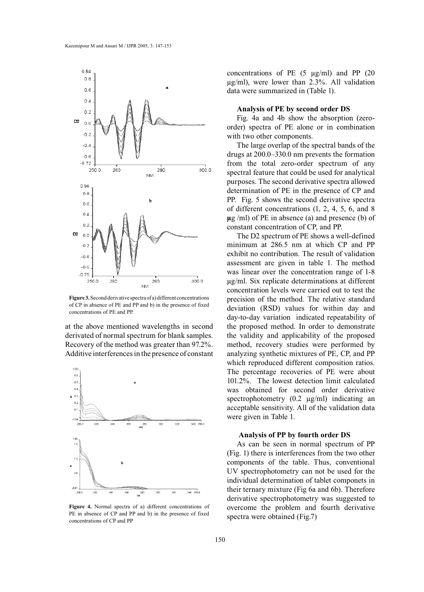

**Figure 3.** Second derivative spectra of a) different concentrations of CP in absence of PE and PP and b) in the presence of fixed concentrations of PE and PP.

at the above mentioned wavelengths in second derivated of normal spectrum for blank samples. Recovery of the method was greater than 97.2%. Additive interferences in the presence of constant



**Figure 4.** Normal spectra of a) different concentrations of PE in absence of CP and PP and b) in the presence of fixed concentrations of CP and PP

concentrations of PE  $(5 \text{ ug/ml})$  and PP  $(20 \text{ g})$ µg/ml), were lower than 2.3%. All validation data were summarized in (Table 1).

# **Analysis of PE by second order DS**

Fig. 4a and 4b show the absorption (zeroorder) spectra of PE alone or in combination with two other components.

The large overlap of the spectral bands of the drugs at 200.0–330.0 nm prevents the formation from the total zero-order spectrum of any spectral feature that could be used for analytical purposes. The second derivative spectra allowed determination of PE in the presence of CP and PP. Fig. 5 shows the second derivative spectra of different concentrations (1, 2, 4, 5, 6, and 8 **µ**g /ml) of PE in absence (a) and presence (b) of constant concentration of CP, and PP.

The D2 spectrum of PE shows a well-defined minimum at 286.5 nm at which CP and PP exhibit no contribution. The result of validation assessment are given in table 1. The method was linear over the concentration range of 1-8 µg/ml. Six replicate determinations at different concentration levels were carried out to test the precision of the method. The relative standard deviation (RSD) values for within day and day-to-day variation indicated repeatability of the proposed method. In order to demonstrate the validity and applicability of the proposed method, recovery studies were performed by analyzing synthetic mixtures of PE, CP, and PP which reproduced different composition ratios. The percentage recoveries of PE were about 101.2%. The lowest detection limit calculated was obtained for second order derivative spectrophotometry (0.2 µg/ml) indicating an acceptable sensitivity. All of the validation data were given in Table 1.

# **Analysis of PP by fourth order DS**

As can be seen in normal spectrum of PP (Fig. 1) there is interferences from the two other components of the table. Thus, conventional UV spectrophotometry can not be used for the individual determination of tablet componets in their ternary mixture (Fig 6a and 6b). Therefore derivative spectrophotometry was suggested to overcome the problem and fourth derivative spectra were obtained (Fig.7)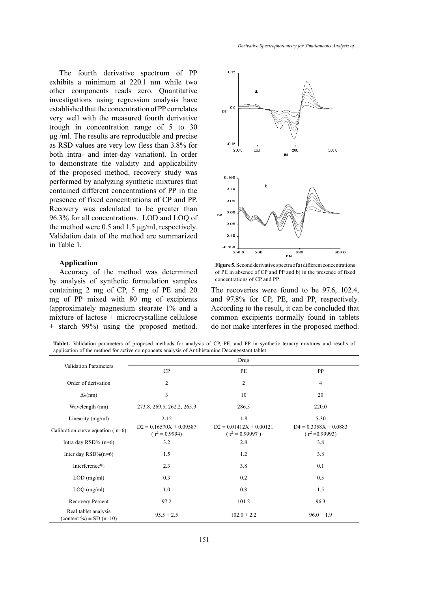The fourth derivative spectrum of PP exhibits a minimum at 220.1 nm while two other components reads zero. Quantitative investigations using regression analysis have established that the concentration of PP correlates very well with the measured fourth derivative trough in concentration range of 5 to 30 µg /ml. The results are reproducible and precise as RSD values are very low (less than 3.8% for both intra- and inter-day variation). In order to demonstrate the validity and applicability of the proposed method, recovery study was performed by analyzing synthetic mixtures that contained different concentrations of PP in the presence of fixed concentrations of CP and PP. Recovery was calculated to be greater than 96.3% for all concentrations. LOD and LOQ of the method were 0.5 and 1.5 µg/ml, respectively. Validation data of the method are summarized in Table 1.

# **Application**

Accuracy of the method was determined by analysis of synthetic formulation samples containing 2 mg of CP, 5 mg of PE and 20 mg of PP mixed with 80 mg of excipients (approximately magnesium stearate 1% and a mixture of lactose + microcrystalline cellulose + starch 99%) using the proposed method.



**Figure 5.** Second derivative spectra of a) different concentrations of PE in absence of CP and PP and b) in the presence of fixed concentrations of CP and PP.

The recoveries were found to be 97.6, 102.4, and 97.8% for CP, PE, and PP, respectively. According to the result, it can be concluded that common excipients normally found in tablets do not make interferes in the proposed method.

**Table1.** Validation parameters of proposed methods for analysis of CP, PE, and PP in synthetic ternary mixtures and results of application of the method for active components analysis of Antihistamine Decongestant tablet

| <b>Validation Parameters</b>                        | Drug                                          |                                                |                                            |
|-----------------------------------------------------|-----------------------------------------------|------------------------------------------------|--------------------------------------------|
|                                                     | CP                                            | PE                                             | PP                                         |
| Order of derivation                                 | $\overline{2}$                                | $\overline{2}$                                 | $\overline{4}$                             |
| $\Delta\lambda$ (nm)                                | 3                                             | 10                                             | 20                                         |
| Wavelength (nm)                                     | 273.8, 269.5, 262.2, 265.9                    | 286.5                                          | 220.0                                      |
| Linearity (mg/ml)                                   | $2 - 12$                                      | $1 - 8$                                        | $5 - 30$                                   |
| Calibration curve equation $(n=6)$                  | $D2 = 0.16570X + 0.09587$<br>$(r^2 = 0.9994)$ | $D2 = 0.01412X + 0.00121$<br>$(r^2 = 0.99997)$ | $D4 = 0.3358X + 0.0883$<br>$(r^2=0.99993)$ |
| Intra day $RSD\%$ (n=6)                             | 3.2                                           | 2.8                                            | 3.8                                        |
| Inter day $RSD\%$ (n=6)                             | 1.5                                           | 1.2                                            | 3.8                                        |
| Interference%                                       | 2.3                                           | 3.8                                            | 0.1                                        |
| $LOD$ (mg/ml)                                       | 0.3                                           | 0.2                                            | 0.5                                        |
| $LOQ$ (mg/ml)                                       | 1.0                                           | 0.8                                            | 1.5                                        |
| Recovery Percent                                    | 97.2                                          | 101.2                                          | 96.3                                       |
| Real tablet analysis<br>(content $\%$ ) ± SD (n=10) | $95.5 \pm 2.5$                                | $102.0 \pm 2.2$                                | $96.0 \pm 1.9$                             |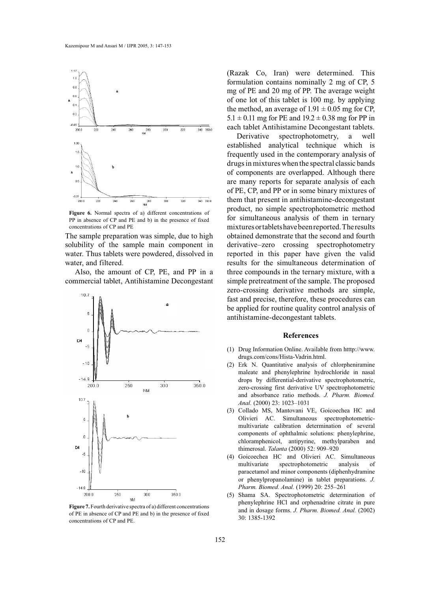![](_page_5_Figure_1.jpeg)

**Figure 6.** Normal spectra of a) different concentrations of PP in absence of CP and PE and b) in the presence of fixed concentrations of CP and PE

The sample preparation was simple, due to high solubility of the sample main component in water. Thus tablets were powdered, dissolved in water, and filtered.

Also, the amount of CP, PE, and PP in a commercial tablet, Antihistamine Decongestant

![](_page_5_Figure_5.jpeg)

**Figure 7.** Fourth derivative spectra of a) different concentrations of PE in absence of CP and PE and b) in the presence of fixed concentrations of CP and PE.

(Razak Co, Iran) were determined. This formulation contains nominally 2 mg of CP, 5 mg of PE and 20 mg of PP. The average weight of one lot of this tablet is 100 mg. by applying the method, an average of  $1.91 \pm 0.05$  mg for CP,  $5.1 \pm 0.11$  mg for PE and  $19.2 \pm 0.38$  mg for PP in each tablet Antihistamine Decongestant tablets.

Derivative spectrophotometry, a well established analytical technique which is frequently used in the contemporary analysis of drugs in mixtures when the spectral classic bands of components are overlapped. Although there are many reports for separate analysis of each of PE, CP, and PP or in some binary mixtures of them that present in antihistamine-decongestant product, no simple spectrophotometric method for simultaneous analysis of them in ternary mixtures or tablets have been reported. The results obtained demonstrate that the second and fourth derivative–zero crossing spectrophotometry reported in this paper have given the valid results for the simultaneous determination of three compounds in the ternary mixture, with a simple pretreatment of the sample. The proposed zero-crossing derivative methods are simple, fast and precise, therefore, these procedures can be applied for routine quality control analysis of antihistamine-decongestant tablets.

## **References**

- (1) Drug Information Online. Available from htttp://www. drugs.com/cons/Hista-Vadrin.html.
- Erk N. Quantitative analysis of chlorpheniramine (2) maleate and phenylephrine hydrochloride in nasal drops by differential-derivative spectrophotometric, zero-crossing first derivative UV spectrophotometric and absorbance ratio methods. *J. Pharm. Biomed. Anal.* (2000) 23: 1023–1031
- (3) Collado MS, Mantovani VE, Goicoechea HC and Olivieri AC. Simultaneous spectrophotometricmultivariate calibration determination of several components of ophthalmic solutions: phenylephrine, chloramphenicol, antipyrine, methylparaben and thimerosal. *Talanta* (2000) 52: 909–920
- Goicoechea HC and Olivieri AC. Simultaneous (4) multivariate spectrophotometric analysis of paracetamol and minor components (diphenhydramine or phenylpropanolamine) in tablet preparations. *J. Pharm. Biomed. Anal.* (1999) 20: 255–261
- (5) Shama SA. Spectrophotometric determination of phenylephrine HCl and orphenadrine citrate in pure and in dosage forms. *J. Pharm. Biomed. Anal.* (2002) 30: 1385-1392